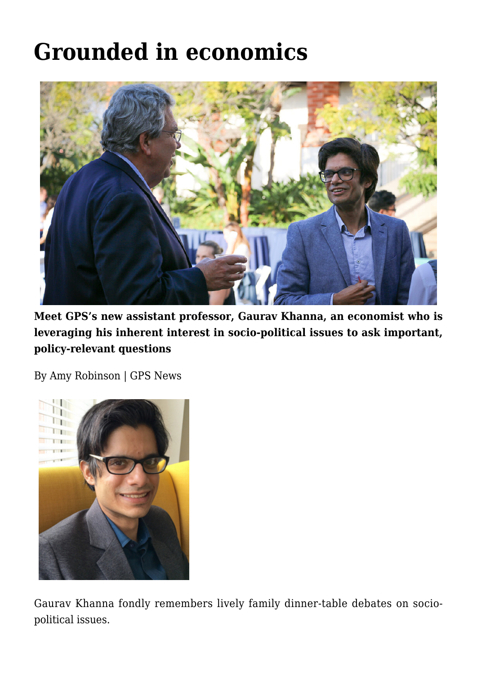## **[Grounded in economics](https://gpsnews.ucsd.edu/grounded-in-economics/)**



**Meet GPS's new assistant professor, Gaurav Khanna, an economist who is leveraging his inherent interest in socio-political issues to ask important, policy-relevant questions**

By Amy Robinson | GPS News



Gaurav Khanna fondly remembers lively family dinner-table debates on sociopolitical issues.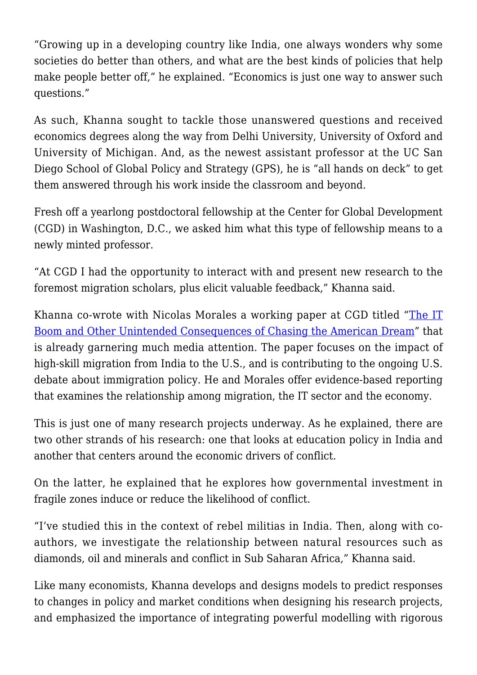"Growing up in a developing country like India, one always wonders why some societies do better than others, and what are the best kinds of policies that help make people better off," he explained. "Economics is just one way to answer such questions."

As such, Khanna sought to tackle those unanswered questions and received economics degrees along the way from Delhi University, University of Oxford and University of Michigan. And, as the newest assistant professor at the UC San Diego School of Global Policy and Strategy (GPS), he is "all hands on deck" to get them answered through his work inside the classroom and beyond.

Fresh off a yearlong postdoctoral fellowship at the Center for Global Development (CGD) in Washington, D.C., we asked him what this type of fellowship means to a newly minted professor.

"At CGD I had the opportunity to interact with and present new research to the foremost migration scholars, plus elicit valuable feedback," Khanna said.

Khanna co-wrote with Nicolas Morales a working paper at CGD titled "[The IT](https://www.cgdev.org/blog/technology-innovation-and-american-dream-new-study-finds-h-1b-visas-benefit-us-and-indian) [Boom and Other Unintended Consequences of Chasing the American Dream"](https://www.cgdev.org/blog/technology-innovation-and-american-dream-new-study-finds-h-1b-visas-benefit-us-and-indian) that is already garnering much media attention. The paper focuses on the impact of high-skill migration from India to the U.S., and is contributing to the ongoing U.S. debate about immigration policy. He and Morales offer evidence-based reporting that examines the relationship among migration, the IT sector and the economy.

This is just one of many research projects underway. As he explained, there are two other strands of his research: one that looks at education policy in India and another that centers around the economic drivers of conflict.

On the latter, he explained that he explores how governmental investment in fragile zones induce or reduce the likelihood of conflict.

"I've studied this in the context of rebel militias in India. Then, along with coauthors, we investigate the relationship between natural resources such as diamonds, oil and minerals and conflict in Sub Saharan Africa," Khanna said.

Like many economists, Khanna develops and designs models to predict responses to changes in policy and market conditions when designing his research projects, and emphasized the importance of integrating powerful modelling with rigorous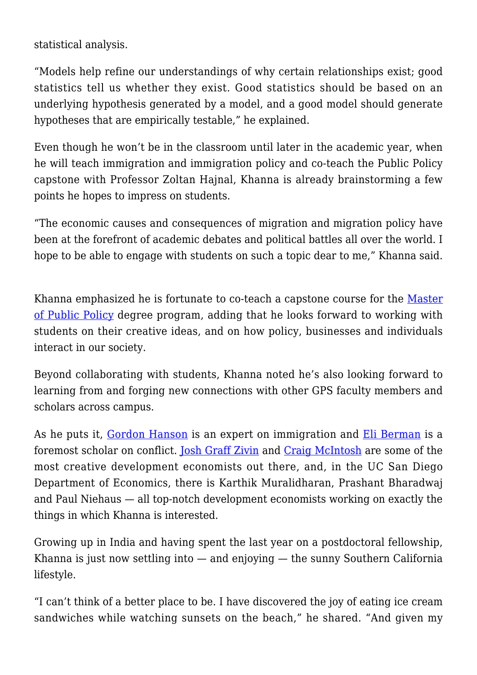statistical analysis.

"Models help refine our understandings of why certain relationships exist; good statistics tell us whether they exist. Good statistics should be based on an underlying hypothesis generated by a model, and a good model should generate hypotheses that are empirically testable," he explained.

Even though he won't be in the classroom until later in the academic year, when he will teach immigration and immigration policy and co-teach the Public Policy capstone with Professor Zoltan Hajnal, Khanna is already brainstorming a few points he hopes to impress on students.

"The economic causes and consequences of migration and migration policy have been at the forefront of academic debates and political battles all over the world. I hope to be able to engage with students on such a topic dear to me," Khanna said.

Khanna emphasized he is fortunate to co-teach a capstone course for the [Master](https://gps.ucsd.edu/academics/mpp.html) [of Public Policy](https://gps.ucsd.edu/academics/mpp.html) degree program, adding that he looks forward to working with students on their creative ideas, and on how policy, businesses and individuals interact in our society.

Beyond collaborating with students, Khanna noted he's also looking forward to learning from and forging new connections with other GPS faculty members and scholars across campus.

As he puts it, [Gordon Hanson](https://gps.ucsd.edu/faculty-directory/gordon-hanson.html) is an expert on immigration and [Eli Berman](https://gps.ucsd.edu/faculty-directory/eli-berman.html) is a foremost scholar on conflict. [Josh Graff Zivin](https://gps.ucsd.edu/faculty-directory/joshua-graff-zivin.html) and [Craig McIntosh](https://gps.ucsd.edu/faculty-directory/craig-mcintosh.html) are some of the most creative development economists out there, and, in the UC San Diego Department of Economics, there is Karthik Muralidharan, Prashant Bharadwaj and Paul Niehaus — all top-notch development economists working on exactly the things in which Khanna is interested.

Growing up in India and having spent the last year on a postdoctoral fellowship, Khanna is just now settling into — and enjoying — the sunny Southern California lifestyle.

"I can't think of a better place to be. I have discovered the joy of eating ice cream sandwiches while watching sunsets on the beach," he shared. "And given my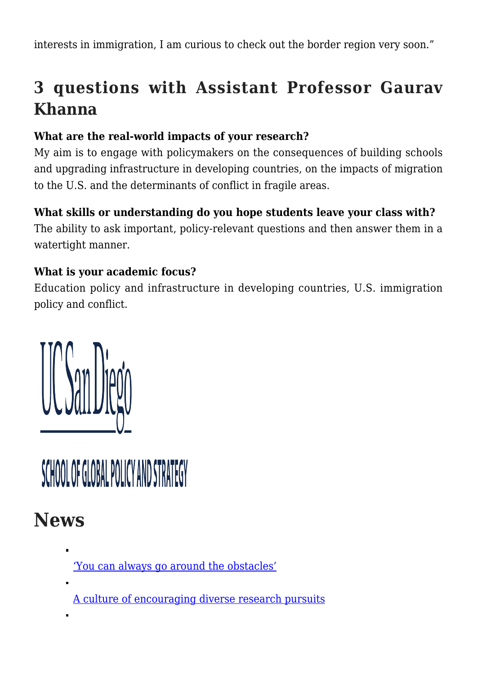interests in immigration, I am curious to check out the border region very soon."

## **3 questions with Assistant Professor Gaurav Khanna**

#### **What are the real-world impacts of your research?**

My aim is to engage with policymakers on the consequences of building schools and upgrading infrastructure in developing countries, on the impacts of migration to the U.S. and the determinants of conflict in fragile areas.

#### **What skills or understanding do you hope students leave your class with?**

The ability to ask important, policy-relevant questions and then answer them in a watertight manner.

#### **What is your academic focus?**

Education policy and infrastructure in developing countries, U.S. immigration policy and conflict.



# SCHOOL OF GLOBAL POLICY AND STRATEGY

### **News**

['You can always go around the obstacles'](https://gpsnews.ucsd.edu/you-can-always-go-around-the-obstacles.html)

[A culture of encouraging diverse research pursuits](https://gpsnews.ucsd.edu/a-culture-of-encouraging-diverse-research-pursuits.html)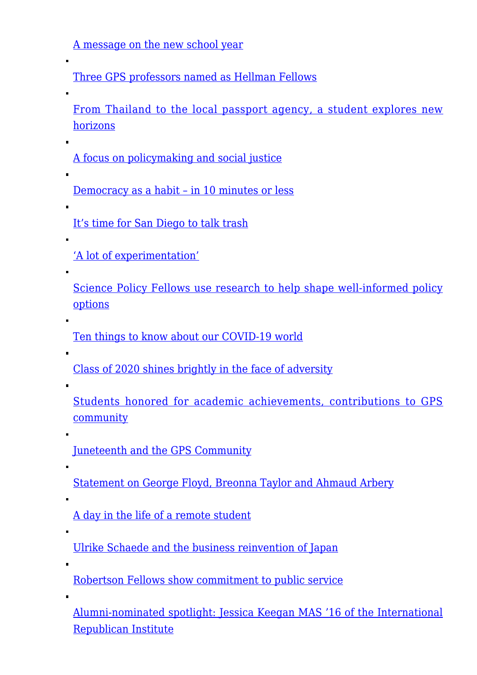[A message on the new school year](https://gpsnews.ucsd.edu/a-message-on-the-new-school-year.html)

[Three GPS professors named as Hellman Fellows](https://gpsnews.ucsd.edu/three-gps-professors-named-as-hellman-fellows.html)

[From Thailand to the local passport agency, a student explores new](https://gpsnews.ucsd.edu/from-thailand-to-the-local-passport-agency-a-student-explores-new-horizons.html) [horizons](https://gpsnews.ucsd.edu/from-thailand-to-the-local-passport-agency-a-student-explores-new-horizons.html)

[A focus on policymaking and social justice](https://gpsnews.ucsd.edu/a-focus-on-policymaking-and-social-justice.html)

[Democracy as a habit – in 10 minutes or less](https://gpsnews.ucsd.edu/democracy-as-a-habit-in-10-minutes-or-less.html)

[It's time for San Diego to talk trash](https://gpsnews.ucsd.edu/its-time-for-san-diego-to-talk-trash.html)

['A lot of experimentation'](https://gpsnews.ucsd.edu/a-lot-of-experimentation.html)

[Science Policy Fellows use research to help shape well-informed policy](https://gpsnews.ucsd.edu/science-policy-fellows-use-research-to-help-shape-well-informed-policy-options.html) [options](https://gpsnews.ucsd.edu/science-policy-fellows-use-research-to-help-shape-well-informed-policy-options.html)

[Ten things to know about our COVID-19 world](https://gpsnews.ucsd.edu/ten-things-to-know-about-our-covid-19-world.html)

[Class of 2020 shines brightly in the face of adversity](https://gpsnews.ucsd.edu/class-of-2020-shines-bright-in-the-face-of-adversity.html)

[Students honored for academic achievements, contributions to GPS](https://gpsnews.ucsd.edu/students-honored-for-academic-achievements-contributions-to-gps-community.html) [community](https://gpsnews.ucsd.edu/students-honored-for-academic-achievements-contributions-to-gps-community.html)

[Juneteenth and the GPS Community](https://gpsnews.ucsd.edu/juneteenth-and-the-gps-community.html)

[Statement on George Floyd, Breonna Taylor and Ahmaud Arbery](https://gpsnews.ucsd.edu/statement-on-george-floyd-breonna-taylor-and-ahmaud-arbery.html)

 $\blacksquare$ 

[A day in the life of a remote student](https://gpsnews.ucsd.edu/a-day-in-the-life-of-a-remote-student.html)

[Ulrike Schaede and the business reinvention of Japan](https://gpsnews.ucsd.edu/ulrike-schaede-and-the-business-reinvention-of-japan.html)

[Robertson Fellows show commitment to public service](https://gpsnews.ucsd.edu/robertson-fellows-show-commitment-to-public-service.html)

[Alumni-nominated spotlight: Jessica Keegan MAS '16 of the International](https://gpsnews.ucsd.edu/alumni-nominated-spotlight-jessica-keegan.html) [Republican Institute](https://gpsnews.ucsd.edu/alumni-nominated-spotlight-jessica-keegan.html)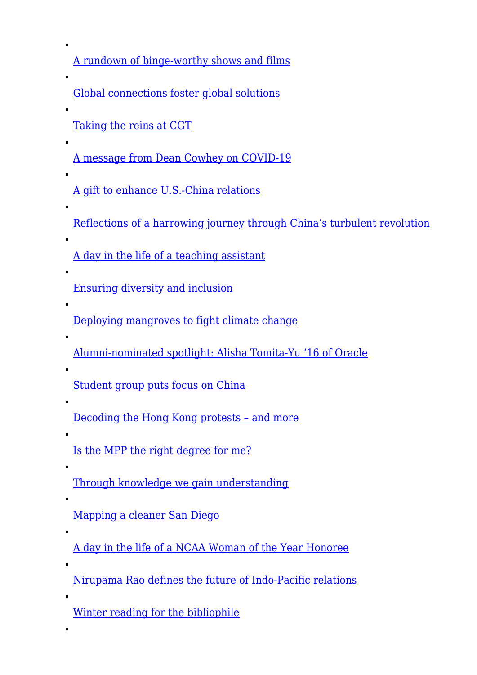[A rundown of binge-worthy shows and films](https://gpsnews.ucsd.edu/a-rundown-of-binge-worthy-shows-and-films.html)

[Global connections foster global solutions](https://gpsnews.ucsd.edu/global-connections-foster-global-solutions.html)

[Taking the reins at CGT](https://gpsnews.ucsd.edu/taking-the-reins-at-cgt.html)

 $\blacksquare$ 

[A message from Dean Cowhey on COVID-19](https://gpsnews.ucsd.edu/a-message-from-dean-cowhey-on-covid-19.html)

[A gift to enhance U.S.-China relations](https://gpsnews.ucsd.edu/a-gift-to-enhance-us-china-relations.html)

[Reflections of a harrowing journey through China's turbulent revolution](https://gpsnews.ucsd.edu/reflections-of-a-harrowing-journey-through-chinas-turbulent-revolution.html)

[A day in the life of a teaching assistant](https://gpsnews.ucsd.edu/a-day-in-the-life-of-a-teaching-assistant.html)

[Ensuring diversity and inclusion](https://gpsnews.ucsd.edu/ensuring-diversity-and-inclusion.html)

[Deploying mangroves to fight climate change](https://gpsnews.ucsd.edu/deploying-mangroves-to-fight-climate-change.html)

[Alumni-nominated spotlight: Alisha Tomita-Yu '16 of Oracle](https://gpsnews.ucsd.edu/alumni-nominated-spotlight-alisha-tomita-yu.html)

[Student group puts focus on China](https://gpsnews.ucsd.edu/student-group-puts-focus-on-china.html)

[Decoding the Hong Kong protests – and more](https://gpsnews.ucsd.edu/decoding-the-hong-kong-protests-and-more.html)

[Is the MPP the right degree for me?](https://gpsnews.ucsd.edu/is-the-mpp-the-right-degree-for-me.html)

[Through knowledge we gain understanding](https://gpsnews.ucsd.edu/through-knowledge-we-gain-understanding.html)

[Mapping a cleaner San Diego](https://gpsnews.ucsd.edu/mapping-a-cleaner-san-diego.html)

[A day in the life of a NCAA Woman of the Year Honoree](https://gpsnews.ucsd.edu/a-day-in-the-life-of-a-ncaa-woman-of-the-year-honoree.html)

[Nirupama Rao defines the future of Indo-Pacific relations](https://gpsnews.ucsd.edu/nirupama-rao-defines-the-future-of-indo-pacific-relations.html)

[Winter reading for the bibliophile](https://gpsnews.ucsd.edu/winter-reading-for-the-bibliophile.html)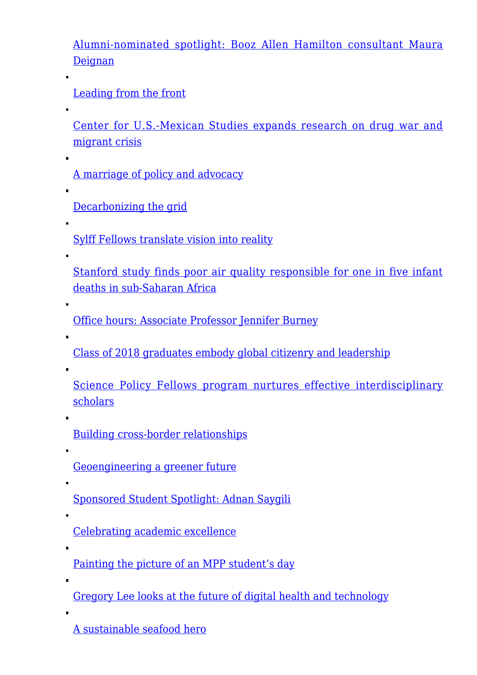[Alumni-nominated spotlight: Booz Allen Hamilton consultant Maura](https://gpsnews.ucsd.edu/alumni-nominated-spotlight-maura-deignan.html) **[Deignan](https://gpsnews.ucsd.edu/alumni-nominated-spotlight-maura-deignan.html)** 

[Leading from the front](https://gpsnews.ucsd.edu/leading-from-the-front.html)

[Center for U.S.-Mexican Studies expands research on drug war and](https://gpsnews.ucsd.edu/center-for-us-mexican-studies-expands-research-on-drug-and-migrant-crisis.html) [migrant crisis](https://gpsnews.ucsd.edu/center-for-us-mexican-studies-expands-research-on-drug-and-migrant-crisis.html)

[A marriage of policy and advocacy](https://gpsnews.ucsd.edu/a-marriage-of-policy-and-advocacy.html)

[Decarbonizing the grid](https://gpsnews.ucsd.edu/decarbonizing-the-grid.html)

[Sylff Fellows translate vision into reality](https://gpsnews.ucsd.edu/sylff-fellows-translate-vision-into-reality.html)

[Stanford study finds poor air quality responsible for one in five infant](https://gpsnews.ucsd.edu/stanford-study-finds-poor-air-quality-responsible-for-one-in-five-infant-deaths-in-sub-saharan-africa.html) [deaths in sub‑Saharan Africa](https://gpsnews.ucsd.edu/stanford-study-finds-poor-air-quality-responsible-for-one-in-five-infant-deaths-in-sub-saharan-africa.html)

[Office hours: Associate Professor Jennifer Burney](https://gpsnews.ucsd.edu/office-hours-assistant-professor-jennifer-burney.html)

[Class of 2018 graduates embody global citizenry and leadership](https://gpsnews.ucsd.edu/class-of-2018-graduates-embody-global-citizenry-leadership.html)

 $\blacksquare$ 

[Science Policy Fellows program nurtures effective interdisciplinary](https://gpsnews.ucsd.edu/science-policy-fellows-program-nurtures-effective-scholars.html) [scholars](https://gpsnews.ucsd.edu/science-policy-fellows-program-nurtures-effective-scholars.html)

[Building cross-border relationships](https://gpsnews.ucsd.edu/building-cross-border-relationships.html)

[Geoengineering a greener future](https://gpsnews.ucsd.edu/geoengineering-greener-future.html)

[Sponsored Student Spotlight: Adnan Saygili](https://gpsnews.ucsd.edu/sponsored-student-spotlight-adnan-saygili.html)

[Celebrating academic excellence](https://gpsnews.ucsd.edu/celebrating-academic-excellence.html)

[Painting the picture of an MPP student's day](https://gpsnews.ucsd.edu/painting-the-picture-of-mpp-student.html)

[Gregory Lee looks at the future of digital health and technology](https://gpsnews.ucsd.edu/gregory-lee-looks-at-the-future-of-digital-health-technology.html)

[A sustainable seafood hero](https://gpsnews.ucsd.edu/sustainable-seafood-hero.html)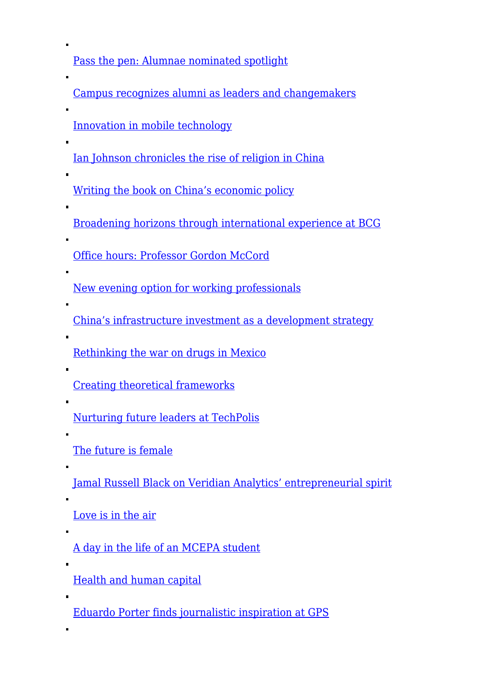[Pass the pen: Alumnae nominated spotlight](https://gpsnews.ucsd.edu/pass-the-pen-alumnae-nominated-spotlight.html)

[Campus recognizes alumni as leaders and changemakers](https://gpsnews.ucsd.edu/campus-recognizes-alumni-as-leaders-changemakers.html)

[Innovation in mobile technology](https://gpsnews.ucsd.edu/innovation-in-mobile-technology.html)

[Ian Johnson chronicles the rise of religion in China](https://gpsnews.ucsd.edu/ian-johnson-chronicles-the-rise-of-religion-in-china.html)

[Writing the book on China's economic policy](https://gpsnews.ucsd.edu/writing-the-book-on-chinas-economic-policy.html)

[Broadening horizons through international experience at BCG](https://gpsnews.ucsd.edu/broadening-horizons-through-international-experience-at-bcg.html)

[Office hours: Professor Gordon McCord](https://gpsnews.ucsd.edu/office-hours-professor-professor-gordon-mccord.html)

[New evening option for working professionals](https://gpsnews.ucsd.edu/new-evening-option-for-working-professionals.html)

[China's infrastructure investment as a development strategy](https://gpsnews.ucsd.edu/chinas-infrastructure-investment-as-a-development-strategy.html)

[Rethinking the war on drugs in Mexico](https://gpsnews.ucsd.edu/rethinking-the-war-on-drugs-in-mexico.html)

[Creating theoretical frameworks](https://gpsnews.ucsd.edu/creating-theoretical-frameworks.html)

[Nurturing future leaders at TechPolis](https://gpsnews.ucsd.edu/nurturing-future-leaders-at-techpolis.html)

[The future is female](https://gpsnews.ucsd.edu/the-future-is-female.html)

[Jamal Russell Black on Veridian Analytics' entrepreneurial spirit](https://gpsnews.ucsd.edu/jamal-russell-black-on-veridian-analytics-entrepreneurial-spirit.html)

[Love is in the air](https://gpsnews.ucsd.edu/love-is-in-the-air.html)

[A day in the life of an MCEPA student](https://gpsnews.ucsd.edu/a-day-in-the-life-of-an-mcepa-student.html)

[Health and human capital](https://gpsnews.ucsd.edu/health-and-human-capital.html)

[Eduardo Porter finds journalistic inspiration at GPS](https://gpsnews.ucsd.edu/eduardo-porter-finds-journalistic-inspiration-at-gps.html)

 $\blacksquare$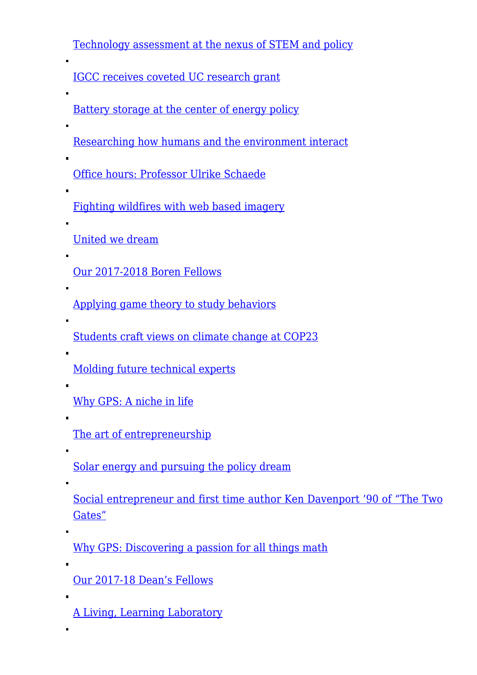[Technology assessment at the nexus of STEM and policy](https://gpsnews.ucsd.edu/technology-assessment-at-the-nexus-of-stem-and-policy.html)

[IGCC receives coveted UC research grant](https://gpsnews.ucsd.edu/igcc-receives-coveted-uc-research-grant.html)

[Battery storage at the center of energy policy](https://gpsnews.ucsd.edu/battery-storage-at-the-center-of-energy-policy.html)

[Researching how humans and the environment interact](https://gpsnews.ucsd.edu/researching-how-humans-and-the-environment-interact.html)

[Office hours: Professor Ulrike Schaede](https://gpsnews.ucsd.edu/office-hours-professor-ulrike-schaede.html)

[Fighting wildfires with web based imagery](https://gpsnews.ucsd.edu/fighting-wildfires-with-web-based-imagery.html)

[United we dream](https://gpsnews.ucsd.edu/united-we-dream.html)

[Our 2017-2018 Boren Fellows](https://gpsnews.ucsd.edu/our-2017-2018-boren-fellows.html)

[Applying game theory to study behaviors](https://gpsnews.ucsd.edu/applying-game-theory-to-study-behaviors.html)

[Students craft views on climate change at COP23](https://gpsnews.ucsd.edu/students-craft-views-on-climate-change-at-cop23.html)

[Molding future technical experts](https://gpsnews.ucsd.edu/molding-future-technical-experts.html)

[Why GPS: A niche in life](https://gpsnews.ucsd.edu/why-gps-a-niche-in-life.html)

[The art of entrepreneurship](https://gpsnews.ucsd.edu/the-art-of-entrepreneurship.html)

[Solar energy and pursuing the policy dream](https://gpsnews.ucsd.edu/solar-energy-and-pursuing-the-policy-dream.html)

[Social entrepreneur and first time author Ken Davenport '90 of "The Two](https://gpsnews.ucsd.edu/social-entrepreneur-and-first-time-author-ken-davenport-90-of-the-two-gates.html) [Gates"](https://gpsnews.ucsd.edu/social-entrepreneur-and-first-time-author-ken-davenport-90-of-the-two-gates.html)

[Why GPS: Discovering a passion for all things math](https://gpsnews.ucsd.edu/why-gps-discovering-a-passion-for-all-things-math.html)

[Our 2017-18 Dean's Fellows](https://gpsnews.ucsd.edu/our-2017-18-deans-fellows.html)

[A Living, Learning Laboratory](https://gpsnews.ucsd.edu/a-living-learning-laboratory.html)